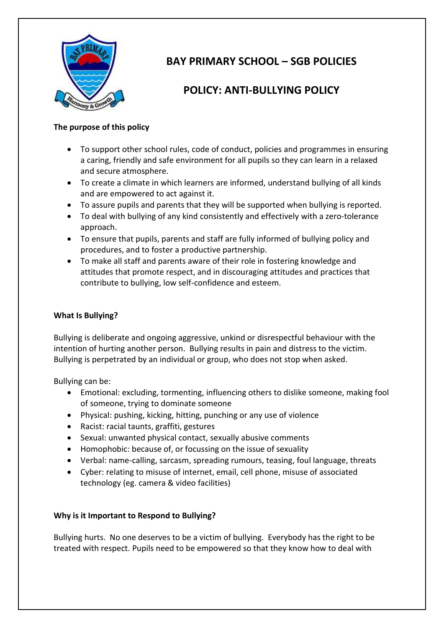

# **BAY PRIMARY SCHOOL – SGB POLICIES**

# **POLICY: ANTI-BULLYING POLICY**

## **The purpose of this policy**

- To support other school rules, code of conduct, policies and programmes in ensuring a caring, friendly and safe environment for all pupils so they can learn in a relaxed and secure atmosphere.
- To create a climate in which learners are informed, understand bullying of all kinds and are empowered to act against it.
- To assure pupils and parents that they will be supported when bullying is reported.
- To deal with bullying of any kind consistently and effectively with a zero-tolerance approach.
- To ensure that pupils, parents and staff are fully informed of bullying policy and procedures, and to foster a productive partnership.
- To make all staff and parents aware of their role in fostering knowledge and attitudes that promote respect, and in discouraging attitudes and practices that contribute to bullying, low self-confidence and esteem.

## **What Is Bullying?**

Bullying is deliberate and ongoing aggressive, unkind or disrespectful behaviour with the intention of hurting another person. Bullying results in pain and distress to the victim. Bullying is perpetrated by an individual or group, who does not stop when asked.

Bullying can be:

- Emotional: excluding, tormenting, influencing others to dislike someone, making fool of someone, trying to dominate someone
- Physical: pushing, kicking, hitting, punching or any use of violence
- Racist: racial taunts, graffiti, gestures
- Sexual: unwanted physical contact, sexually abusive comments
- Homophobic: because of, or focussing on the issue of sexuality
- Verbal: name-calling, sarcasm, spreading rumours, teasing, foul language, threats
- Cyber: relating to misuse of internet, email, cell phone, misuse of associated technology (eg. camera & video facilities)

## **Why is it Important to Respond to Bullying?**

Bullying hurts. No one deserves to be a victim of bullying. Everybody has the right to be treated with respect. Pupils need to be empowered so that they know how to deal with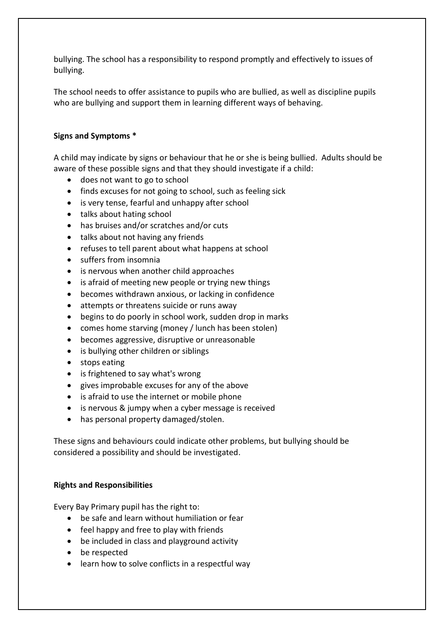bullying. The school has a responsibility to respond promptly and effectively to issues of bullying.

The school needs to offer assistance to pupils who are bullied, as well as discipline pupils who are bullying and support them in learning different ways of behaving.

#### **Signs and Symptoms \***

A child may indicate by signs or behaviour that he or she is being bullied. Adults should be aware of these possible signs and that they should investigate if a child:

- does not want to go to school
- finds excuses for not going to school, such as feeling sick
- is very tense, fearful and unhappy after school
- talks about hating school
- has bruises and/or scratches and/or cuts
- talks about not having any friends
- refuses to tell parent about what happens at school
- suffers from insomnia
- is nervous when another child approaches
- is afraid of meeting new people or trying new things
- becomes withdrawn anxious, or lacking in confidence
- attempts or threatens suicide or runs away
- begins to do poorly in school work, sudden drop in marks
- comes home starving (money / lunch has been stolen)
- becomes aggressive, disruptive or unreasonable
- is bullying other children or siblings
- stops eating
- is frightened to say what's wrong
- gives improbable excuses for any of the above
- is afraid to use the internet or mobile phone
- is nervous & jumpy when a cyber message is received
- has personal property damaged/stolen.

These signs and behaviours could indicate other problems, but bullying should be considered a possibility and should be investigated.

### **Rights and Responsibilities**

Every Bay Primary pupil has the right to:

- be safe and learn without humiliation or fear
- feel happy and free to play with friends
- be included in class and playground activity
- be respected
- learn how to solve conflicts in a respectful way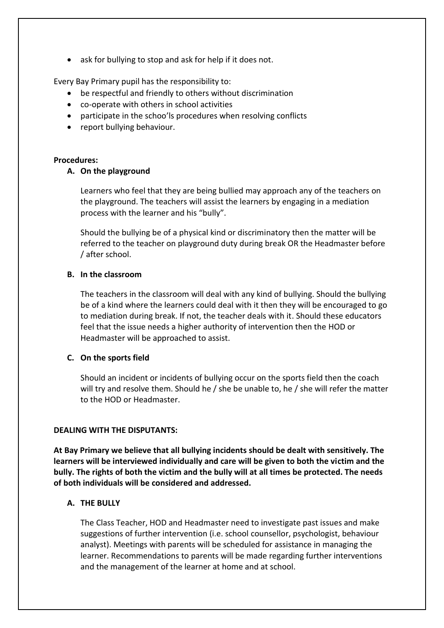• ask for bullying to stop and ask for help if it does not.

Every Bay Primary pupil has the responsibility to:

- be respectful and friendly to others without discrimination
- co-operate with others in school activities
- participate in the schoo'ls procedures when resolving conflicts
- report bullying behaviour.

#### **Procedures:**

### **A. On the playground**

Learners who feel that they are being bullied may approach any of the teachers on the playground. The teachers will assist the learners by engaging in a mediation process with the learner and his "bully".

Should the bullying be of a physical kind or discriminatory then the matter will be referred to the teacher on playground duty during break OR the Headmaster before / after school.

#### **B. In the classroom**

The teachers in the classroom will deal with any kind of bullying. Should the bullying be of a kind where the learners could deal with it then they will be encouraged to go to mediation during break. If not, the teacher deals with it. Should these educators feel that the issue needs a higher authority of intervention then the HOD or Headmaster will be approached to assist.

### **C. On the sports field**

Should an incident or incidents of bullying occur on the sports field then the coach will try and resolve them. Should he / she be unable to, he / she will refer the matter to the HOD or Headmaster.

### **DEALING WITH THE DISPUTANTS:**

**At Bay Primary we believe that all bullying incidents should be dealt with sensitively. The learners will be interviewed individually and care will be given to both the victim and the bully. The rights of both the victim and the bully will at all times be protected. The needs of both individuals will be considered and addressed.** 

### **A. THE BULLY**

The Class Teacher, HOD and Headmaster need to investigate past issues and make suggestions of further intervention (i.e. school counsellor, psychologist, behaviour analyst). Meetings with parents will be scheduled for assistance in managing the learner. Recommendations to parents will be made regarding further interventions and the management of the learner at home and at school.